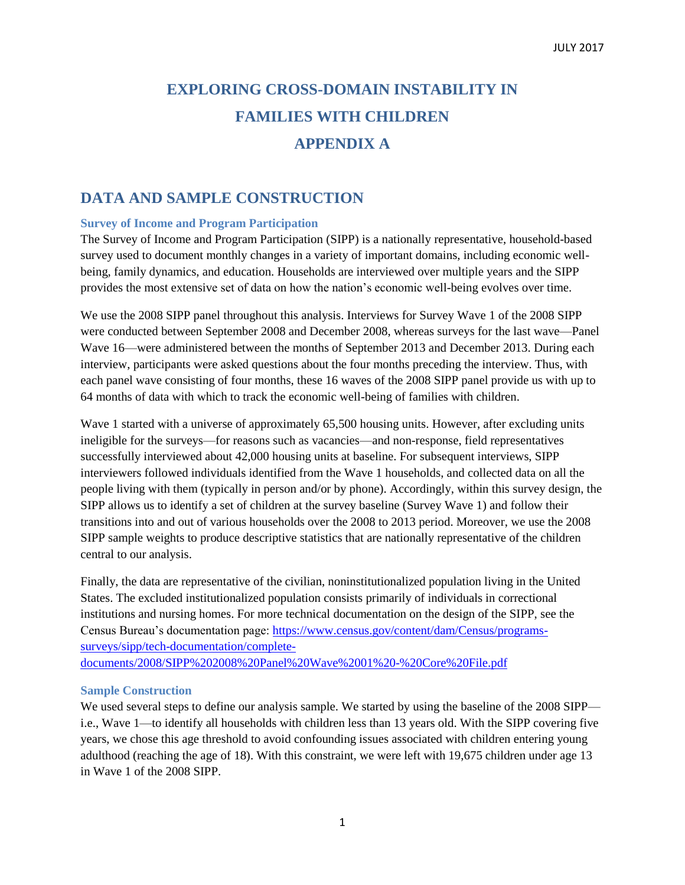# **EXPLORING CROSS-DOMAIN INSTABILITY IN FAMILIES WITH CHILDREN APPENDIX A**

## **DATA AND SAMPLE CONSTRUCTION**

#### **Survey of Income and Program Participation**

The Survey of Income and Program Participation (SIPP) is a nationally representative, household-based survey used to document monthly changes in a variety of important domains, including economic wellbeing, family dynamics, and education. Households are interviewed over multiple years and the SIPP provides the most extensive set of data on how the nation's economic well-being evolves over time.

We use the 2008 SIPP panel throughout this analysis. Interviews for Survey Wave 1 of the 2008 SIPP were conducted between September 2008 and December 2008, whereas surveys for the last wave—Panel Wave 16—were administered between the months of September 2013 and December 2013. During each interview, participants were asked questions about the four months preceding the interview. Thus, with each panel wave consisting of four months, these 16 waves of the 2008 SIPP panel provide us with up to 64 months of data with which to track the economic well-being of families with children.

Wave 1 started with a universe of approximately 65,500 housing units. However, after excluding units ineligible for the surveys—for reasons such as vacancies—and non-response, field representatives successfully interviewed about 42,000 housing units at baseline. For subsequent interviews, SIPP interviewers followed individuals identified from the Wave 1 households, and collected data on all the people living with them (typically in person and/or by phone). Accordingly, within this survey design, the SIPP allows us to identify a set of children at the survey baseline (Survey Wave 1) and follow their transitions into and out of various households over the 2008 to 2013 period. Moreover, we use the 2008 SIPP sample weights to produce descriptive statistics that are nationally representative of the children central to our analysis.

Finally, the data are representative of the civilian, noninstitutionalized population living in the United States. The excluded institutionalized population consists primarily of individuals in correctional institutions and nursing homes. For more technical documentation on the design of the SIPP, see the Census Bureau's documentation page: [https://www.census.gov/content/dam/Census/programs](https://www.census.gov/content/dam/Census/programs-surveys/sipp/tech-documentation/complete-documents/2008/SIPP%202008%20Panel%20Wave%2001%20-%20Core%20File.pdf)[surveys/sipp/tech-documentation/complete](https://www.census.gov/content/dam/Census/programs-surveys/sipp/tech-documentation/complete-documents/2008/SIPP%202008%20Panel%20Wave%2001%20-%20Core%20File.pdf)[documents/2008/SIPP%202008%20Panel%20Wave%2001%20-%20Core%20File.pdf](https://www.census.gov/content/dam/Census/programs-surveys/sipp/tech-documentation/complete-documents/2008/SIPP%202008%20Panel%20Wave%2001%20-%20Core%20File.pdf)

#### **Sample Construction**

We used several steps to define our analysis sample. We started by using the baseline of the 2008 SIPP i.e., Wave 1—to identify all households with children less than 13 years old. With the SIPP covering five years, we chose this age threshold to avoid confounding issues associated with children entering young adulthood (reaching the age of 18). With this constraint, we were left with 19,675 children under age 13 in Wave 1 of the 2008 SIPP.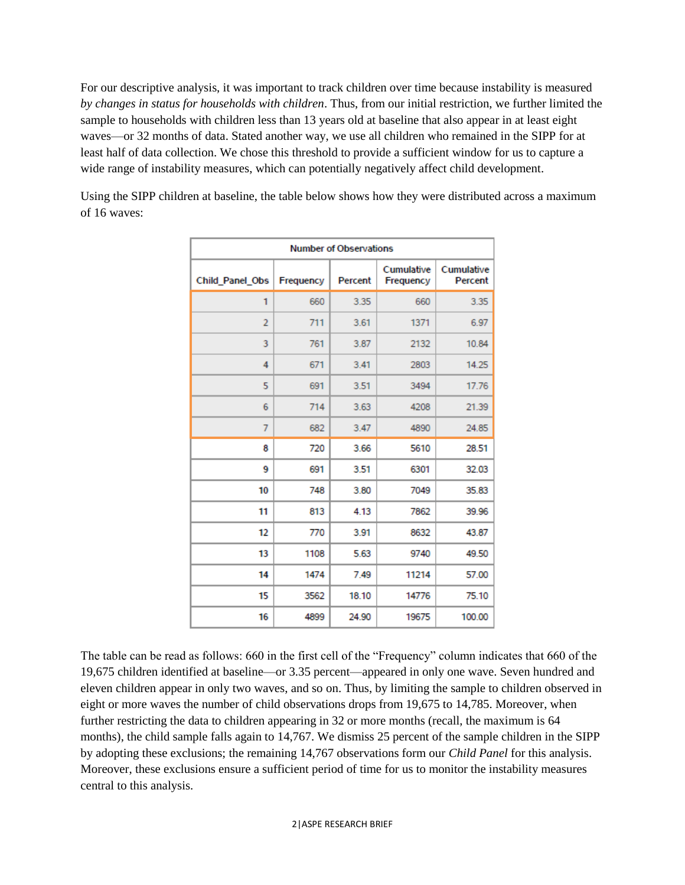For our descriptive analysis, it was important to track children over time because instability is measured *by changes in status for households with children*. Thus, from our initial restriction, we further limited the sample to households with children less than 13 years old at baseline that also appear in at least eight waves—or 32 months of data. Stated another way, we use all children who remained in the SIPP for at least half of data collection. We chose this threshold to provide a sufficient window for us to capture a wide range of instability measures, which can potentially negatively affect child development.

| <b>Number of Observations</b> |           |         |                                |                       |  |  |  |
|-------------------------------|-----------|---------|--------------------------------|-----------------------|--|--|--|
| Child Panel Obs               | Frequency | Percent | <b>Cumulative</b><br>Frequency | Cumulative<br>Percent |  |  |  |
| 1                             | 660       | 3.35    | 660                            | 3.35                  |  |  |  |
| $\overline{2}$                | 711       | 3.61    | 1371                           | 6.97                  |  |  |  |
| 3                             | 761       | 3.87    | 2132                           | 10.84                 |  |  |  |
| 4                             | 671       | 3.41    | 2803                           | 14.25                 |  |  |  |
| 5                             | 691       | 3.51    | 3494                           | 17.76                 |  |  |  |
| 6                             | 714       | 3.63    | 4208                           | 21.39                 |  |  |  |
| 7                             | 682       | 3.47    | 4890                           | 24.85                 |  |  |  |
| 8                             | 720       | 3.66    | 5610                           | 28.51                 |  |  |  |
| 9                             | 691       | 3.51    | 6301                           | 32.03                 |  |  |  |
| 10                            | 748       | 3.80    | 7049                           | 35.83                 |  |  |  |
| 11                            | 813       | 4.13    | 7862                           | 39.96                 |  |  |  |
| 12                            | 770       | 3.91    | 8632                           | 43.87                 |  |  |  |
| 13                            | 1108      | 5.63    | 9740                           | 49.50                 |  |  |  |
| 14                            | 1474      | 7.49    | 11214                          | 57.00                 |  |  |  |
| 15                            | 3562      | 18.10   | 14776                          | 75.10                 |  |  |  |
| 16                            | 4899      | 24.90   | 19675                          | 100.00                |  |  |  |

Using the SIPP children at baseline, the table below shows how they were distributed across a maximum of 16 waves:

The table can be read as follows: 660 in the first cell of the "Frequency" column indicates that 660 of the 19,675 children identified at baseline—or 3.35 percent—appeared in only one wave. Seven hundred and eleven children appear in only two waves, and so on. Thus, by limiting the sample to children observed in eight or more waves the number of child observations drops from 19,675 to 14,785. Moreover, when further restricting the data to children appearing in 32 or more months (recall, the maximum is 64 months), the child sample falls again to 14,767. We dismiss 25 percent of the sample children in the SIPP by adopting these exclusions; the remaining 14,767 observations form our *Child Panel* for this analysis. Moreover, these exclusions ensure a sufficient period of time for us to monitor the instability measures central to this analysis.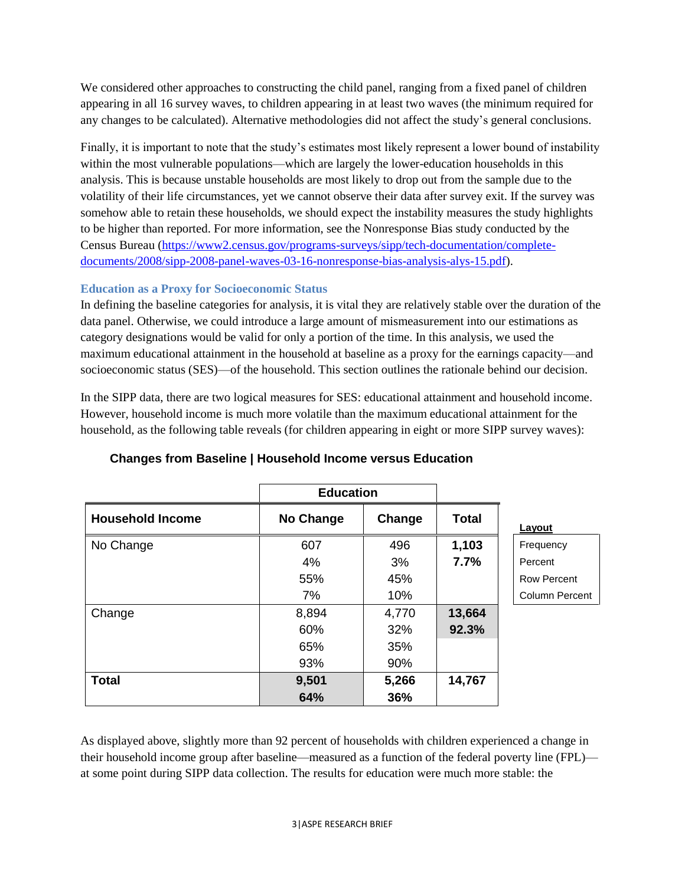We considered other approaches to constructing the child panel, ranging from a fixed panel of children appearing in all 16 survey waves, to children appearing in at least two waves (the minimum required for any changes to be calculated). Alternative methodologies did not affect the study's general conclusions.

Finally, it is important to note that the study's estimates most likely represent a lower bound of instability within the most vulnerable populations—which are largely the lower-education households in this analysis. This is because unstable households are most likely to drop out from the sample due to the volatility of their life circumstances, yet we cannot observe their data after survey exit. If the survey was somehow able to retain these households, we should expect the instability measures the study highlights to be higher than reported. For more information, see the Nonresponse Bias study conducted by the Census Bureau [\(https://www2.census.gov/programs-surveys/sipp/tech-documentation/complete](https://www2.census.gov/programs-surveys/sipp/tech-documentation/complete-documents/2008/sipp-2008-panel-waves-03-16-nonresponse-bias-analysis-alys-15.pdf)[documents/2008/sipp-2008-panel-waves-03-16-nonresponse-bias-analysis-alys-15.pdf\)](https://www2.census.gov/programs-surveys/sipp/tech-documentation/complete-documents/2008/sipp-2008-panel-waves-03-16-nonresponse-bias-analysis-alys-15.pdf).

## **Education as a Proxy for Socioeconomic Status**

In defining the baseline categories for analysis, it is vital they are relatively stable over the duration of the data panel. Otherwise, we could introduce a large amount of mismeasurement into our estimations as category designations would be valid for only a portion of the time. In this analysis, we used the maximum educational attainment in the household at baseline as a proxy for the earnings capacity—and socioeconomic status (SES)—of the household. This section outlines the rationale behind our decision.

In the SIPP data, there are two logical measures for SES: educational attainment and household income. However, household income is much more volatile than the maximum educational attainment for the household, as the following table reveals (for children appearing in eight or more SIPP survey waves):

|                         | <b>Education</b> |        |              |                    |
|-------------------------|------------------|--------|--------------|--------------------|
| <b>Household Income</b> | <b>No Change</b> | Change | <b>Total</b> | Layout             |
| No Change               | 607              | 496    | 1,103        | Frequency          |
|                         | 4%               | 3%     | 7.7%         | Percent            |
|                         | 55%              | 45%    |              | <b>Row Percent</b> |
|                         | 7%               | 10%    |              | Column Percent     |
| Change                  | 8,894            | 4,770  | 13,664       |                    |
|                         | 60%              | 32%    | 92.3%        |                    |
|                         | 65%              | 35%    |              |                    |
|                         | 93%              | 90%    |              |                    |
| <b>Total</b>            | 9,501            | 5,266  | 14,767       |                    |
|                         | 64%              | 36%    |              |                    |

## **Changes from Baseline | Household Income versus Education**

As displayed above, slightly more than 92 percent of households with children experienced a change in their household income group after baseline—measured as a function of the federal poverty line (FPL) at some point during SIPP data collection. The results for education were much more stable: the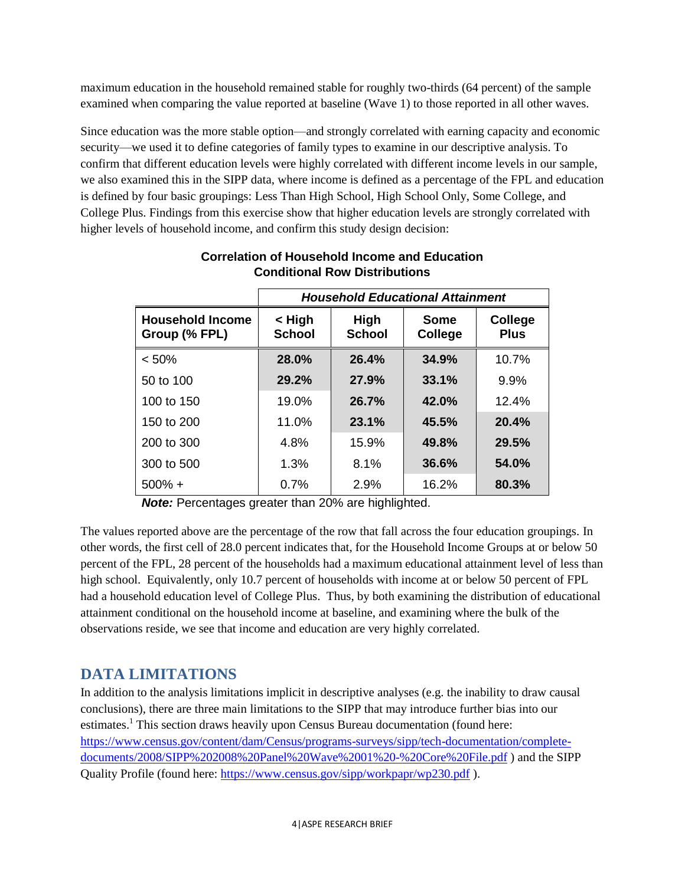maximum education in the household remained stable for roughly two-thirds (64 percent) of the sample examined when comparing the value reported at baseline (Wave 1) to those reported in all other waves.

Since education was the more stable option—and strongly correlated with earning capacity and economic security—we used it to define categories of family types to examine in our descriptive analysis. To confirm that different education levels were highly correlated with different income levels in our sample, we also examined this in the SIPP data, where income is defined as a percentage of the FPL and education is defined by four basic groupings: Less Than High School, High School Only, Some College, and College Plus. Findings from this exercise show that higher education levels are strongly correlated with higher levels of household income, and confirm this study design decision:

|                                          | <b>Household Educational Attainment</b> |                       |                               |                        |  |
|------------------------------------------|-----------------------------------------|-----------------------|-------------------------------|------------------------|--|
| <b>Household Income</b><br>Group (% FPL) | < High<br><b>School</b>                 | High<br><b>School</b> | <b>Some</b><br><b>College</b> | College<br><b>Plus</b> |  |
| < 50%                                    | 28.0%                                   | 26.4%                 | 34.9%                         | 10.7%                  |  |
| 50 to 100                                | 29.2%                                   | 27.9%                 | 33.1%                         | 9.9%                   |  |
| 100 to 150                               | 19.0%                                   | 26.7%                 | 42.0%                         | 12.4%                  |  |
| 150 to 200                               | 11.0%                                   | 23.1%                 | 45.5%                         | 20.4%                  |  |
| 200 to 300                               | 4.8%                                    | 15.9%                 | 49.8%                         | 29.5%                  |  |
| 300 to 500                               | 1.3%                                    | 8.1%                  | 36.6%                         | 54.0%                  |  |
| $500\% +$                                | 0.7%                                    | 2.9%                  | 16.2%                         | 80.3%                  |  |

## **Correlation of Household Income and Education Conditional Row Distributions**

*Note:* Percentages greater than 20% are highlighted.

The values reported above are the percentage of the row that fall across the four education groupings. In other words, the first cell of 28.0 percent indicates that, for the Household Income Groups at or below 50 percent of the FPL, 28 percent of the households had a maximum educational attainment level of less than high school. Equivalently, only 10.7 percent of households with income at or below 50 percent of FPL had a household education level of College Plus. Thus, by both examining the distribution of educational attainment conditional on the household income at baseline, and examining where the bulk of the observations reside, we see that income and education are very highly correlated.

# **DATA LIMITATIONS**

In addition to the analysis limitations implicit in descriptive analyses (e.g. the inability to draw causal conclusions), there are three main limitations to the SIPP that may introduce further bias into our estimates.<sup>1</sup> This section draws heavily upon Census Bureau documentation (found here: [https://www.census.gov/content/dam/Census/programs-surveys/sipp/tech-documentation/complete](https://www.census.gov/content/dam/Census/programs-surveys/sipp/tech-documentation/complete-documents/2008/SIPP%202008%20Panel%20Wave%2001%20-%20Core%20File.pdf)[documents/2008/SIPP%202008%20Panel%20Wave%2001%20-%20Core%20File.pdf](https://www.census.gov/content/dam/Census/programs-surveys/sipp/tech-documentation/complete-documents/2008/SIPP%202008%20Panel%20Wave%2001%20-%20Core%20File.pdf) ) and the SIPP Quality Profile (found here:<https://www.census.gov/sipp/workpapr/wp230.pdf> ).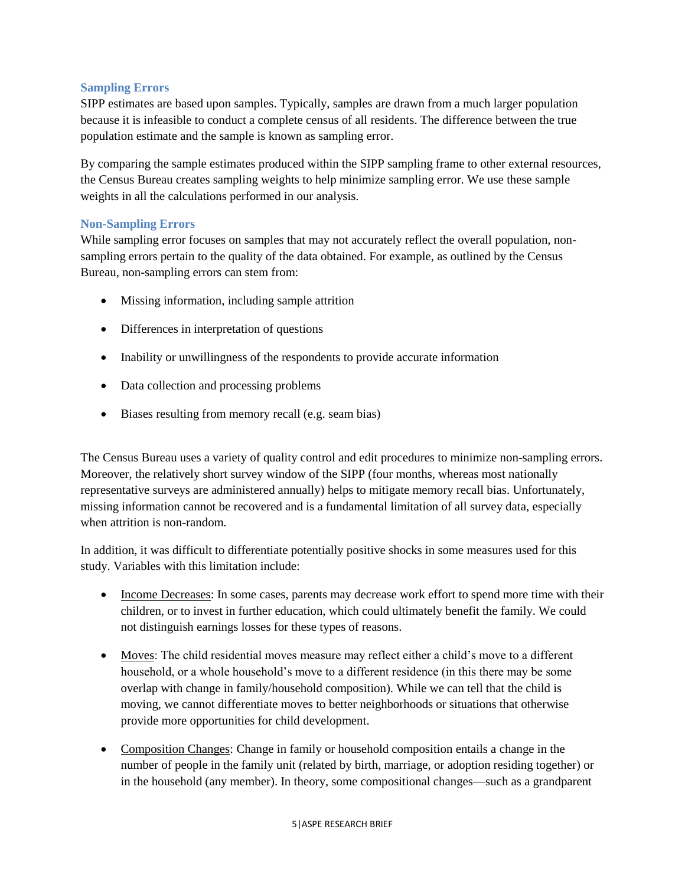## **Sampling Errors**

SIPP estimates are based upon samples. Typically, samples are drawn from a much larger population because it is infeasible to conduct a complete census of all residents. The difference between the true population estimate and the sample is known as sampling error.

By comparing the sample estimates produced within the SIPP sampling frame to other external resources, the Census Bureau creates sampling weights to help minimize sampling error. We use these sample weights in all the calculations performed in our analysis.

### **Non-Sampling Errors**

While sampling error focuses on samples that may not accurately reflect the overall population, nonsampling errors pertain to the quality of the data obtained. For example, as outlined by the Census Bureau, non-sampling errors can stem from:

- Missing information, including sample attrition
- Differences in interpretation of questions
- Inability or unwillingness of the respondents to provide accurate information
- Data collection and processing problems
- Biases resulting from memory recall (e.g. seam bias)

The Census Bureau uses a variety of quality control and edit procedures to minimize non-sampling errors. Moreover, the relatively short survey window of the SIPP (four months, whereas most nationally representative surveys are administered annually) helps to mitigate memory recall bias. Unfortunately, missing information cannot be recovered and is a fundamental limitation of all survey data, especially when attrition is non-random.

In addition, it was difficult to differentiate potentially positive shocks in some measures used for this study. Variables with this limitation include:

- Income Decreases: In some cases, parents may decrease work effort to spend more time with their children, or to invest in further education, which could ultimately benefit the family. We could not distinguish earnings losses for these types of reasons.
- Moves: The child residential moves measure may reflect either a child's move to a different household, or a whole household's move to a different residence (in this there may be some overlap with change in family/household composition). While we can tell that the child is moving, we cannot differentiate moves to better neighborhoods or situations that otherwise provide more opportunities for child development.
- Composition Changes: Change in family or household composition entails a change in the number of people in the family unit (related by birth, marriage, or adoption residing together) or in the household (any member). In theory, some compositional changes—such as a grandparent